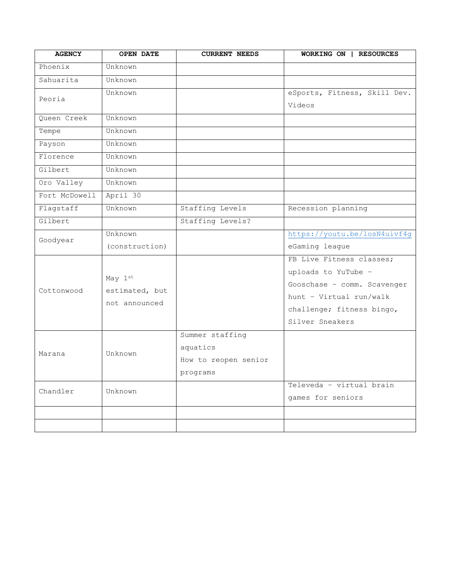| <b>AGENCY</b> | <b>OPEN DATE</b>                           | <b>CURRENT NEEDS</b> | WORKING ON   RESOURCES       |
|---------------|--------------------------------------------|----------------------|------------------------------|
| Phoenix       | Unknown                                    |                      |                              |
| Sahuarita     | Unknown                                    |                      |                              |
| Peoria        | Unknown                                    |                      | eSports, Fitness, Skill Dev. |
|               |                                            |                      | Videos                       |
| Queen Creek   | Unknown                                    |                      |                              |
| Tempe         | Unknown                                    |                      |                              |
| Payson        | Unknown                                    |                      |                              |
| Florence      | Unknown                                    |                      |                              |
| Gilbert       | Unknown                                    |                      |                              |
| Oro Valley    | Unknown                                    |                      |                              |
| Fort McDowell | April 30                                   |                      |                              |
| Flagstaff     | Unknown                                    | Staffing Levels      | Recession planning           |
| Gilbert       |                                            | Staffing Levels?     |                              |
| Goodyear      | Unknown                                    |                      | https://youtu.be/losN4uivf4g |
|               | (construction)                             |                      | eGaming league               |
|               | May 1st<br>estimated, but<br>not announced |                      | FB Live Fitness classes;     |
| Cottonwood    |                                            |                      | uploads to YuTube -          |
|               |                                            |                      | Gooschase - comm. Scavenger  |
|               |                                            |                      | hunt - Virtual run/walk      |
|               |                                            |                      | challenge; fitness bingo,    |
|               |                                            |                      | Silver Sneakers              |
| Marana        | Unknown                                    | Summer staffing      |                              |
|               |                                            | aquatics             |                              |
|               |                                            | How to reopen senior |                              |
|               |                                            | programs             |                              |
| Chandler      | Unknown                                    |                      | Televeda - virtual brain     |
|               |                                            |                      | games for seniors            |
|               |                                            |                      |                              |
|               |                                            |                      |                              |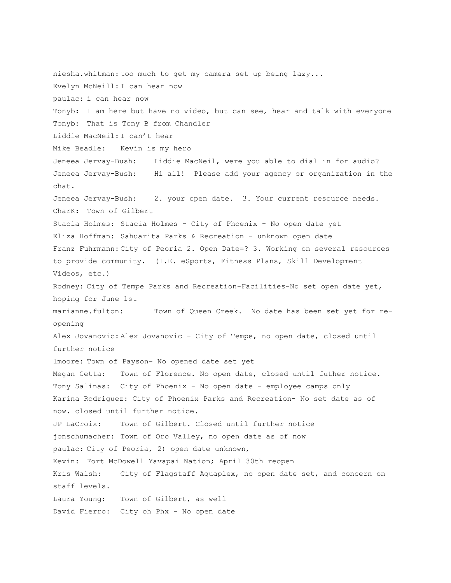niesha.whitman: too much to get my camera set up being lazy... Evelyn McNeill: I can hear now paulac: i can hear now Tonyb: I am here but have no video, but can see, hear and talk with everyone Tonyb: That is Tony B from Chandler Liddie MacNeil: I can't hear Mike Beadle: Kevin is my hero Jeneea Jervay-Bush: Liddie MacNeil, were you able to dial in for audio? Jeneea Jervay-Bush: Hi all! Please add your agency or organization in the chat. Jeneea Jervay-Bush: 2. your open date. 3. Your current resource needs. CharK: Town of Gilbert Stacia Holmes: Stacia Holmes - City of Phoenix - No open date yet Eliza Hoffman: Sahuarita Parks & Recreation - unknown open date Franz Fuhrmann: City of Peoria 2. Open Date=? 3. Working on several resources to provide community. (I.E. eSports, Fitness Plans, Skill Development Videos, etc.) Rodney: City of Tempe Parks and Recreation-Facilities-No set open date yet, hoping for June 1st marianne.fulton: Town of Queen Creek. No date has been set yet for reopening Alex Jovanovic: Alex Jovanovic - City of Tempe, no open date, closed until further notice lmoore: Town of Payson- No opened date set yet Megan Cetta: Town of Florence. No open date, closed until futher notice. Tony Salinas: City of Phoenix - No open date - employee camps only Karina Rodriguez: City of Phoenix Parks and Recreation- No set date as of now. closed until further notice. JP LaCroix: Town of Gilbert. Closed until further notice jonschumacher: Town of Oro Valley, no open date as of now paulac: City of Peoria, 2) open date unknown, Kevin: Fort McDowell Yavapai Nation; April 30th reopen Kris Walsh: City of Flagstaff Aquaplex, no open date set, and concern on staff levels. Laura Young: Town of Gilbert, as well David Fierro: City oh Phx - No open date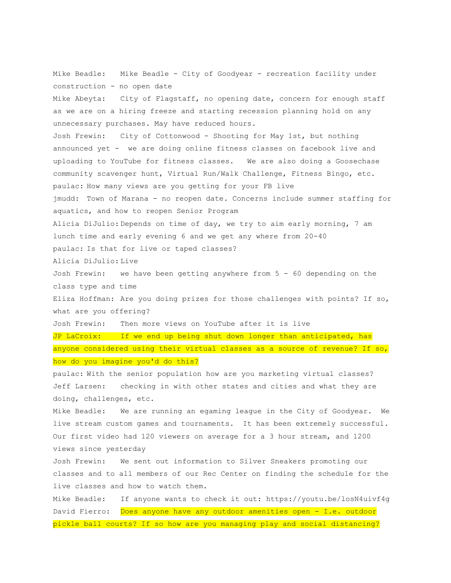Mike Beadle: Mike Beadle - City of Goodyear - recreation facility under construction - no open date Mike Abeyta: City of Flagstaff, no opening date, concern for enough staff as we are on a hiring freeze and starting recession planning hold on any unnecessary purchases. May have reduced hours. Josh Frewin: City of Cottonwood - Shooting for May 1st, but nothing announced yet - we are doing online fitness classes on facebook live and uploading to YouTube for fitness classes. We are also doing a Goosechase community scavenger hunt, Virtual Run/Walk Challenge, Fitness Bingo, etc. paulac: How many views are you getting for your FB live jmudd: Town of Marana - no reopen date. Concerns include summer staffing for aquatics, and how to reopen Senior Program Alicia DiJulio: Depends on time of day, we try to aim early morning, 7 am lunch time and early evening 6 and we get any where from 20-40 paulac: Is that for live or taped classes? Alicia DiJulio: Live Josh Frewin: we have been getting anywhere from 5 - 60 depending on the class type and time Eliza Hoffman: Are you doing prizes for those challenges with points? If so, what are you offering? Josh Frewin: Then more views on YouTube after it is live JP LaCroix: If we end up being shut down longer than anticipated, has anyone considered using their virtual classes as a source of revenue? If so, how do you imagine you'd do this? paulac: With the senior population how are you marketing virtual classes? Jeff Larsen: checking in with other states and cities and what they are doing, challenges, etc. Mike Beadle: We are running an egaming league in the City of Goodyear. We live stream custom games and tournaments. It has been extremely successful. Our first video had 120 viewers on average for a 3 hour stream, and 1200 views since yesterday Josh Frewin: We sent out information to Silver Sneakers promoting our classes and to all members of our Rec Center on finding the schedule for the live classes and how to watch them. Mike Beadle: If anyone wants to check it out: https://youtu.be/losN4uivf4g

David Fierro: Does anyone have any outdoor amenities open - I.e. outdoor pickle ball courts? If so how are you managing play and social distancing?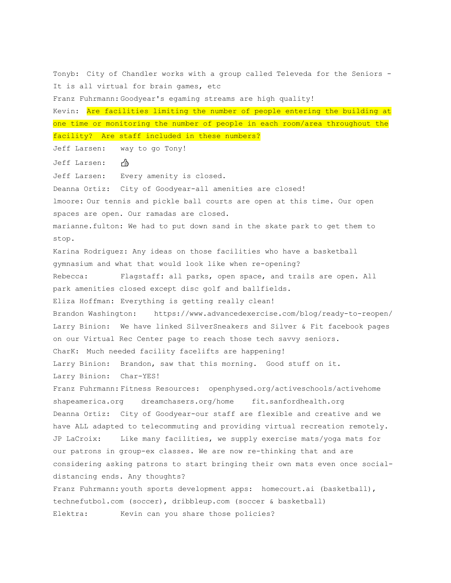Tonyb: City of Chandler works with a group called Televeda for the Seniors - It is all virtual for brain games, etc Franz Fuhrmann: Goodyear's egaming streams are high quality! Kevin: Are facilities limiting the number of people entering the building at one time or monitoring the number of people in each room/area throughout the facility? Are staff included in these numbers? Jeff Larsen: way to go Tony! Jeff Larsen: Jeff Larsen: Every amenity is closed. Deanna Ortiz: City of Goodyear-all amenities are closed! lmoore: Our tennis and pickle ball courts are open at this time. Our open spaces are open. Our ramadas are closed. marianne.fulton: We had to put down sand in the skate park to get them to stop. Karina Rodriguez: Any ideas on those facilities who have a basketball gymnasium and what that would look like when re-opening? Rebecca: Flagstaff: all parks, open space, and trails are open. All park amenities closed except disc golf and ballfields. Eliza Hoffman: Everything is getting really clean! Brandon Washington: https://www.advancedexercise.com/blog/ready-to-reopen/ Larry Binion: We have linked SilverSneakers and Silver & Fit facebook pages on our Virtual Rec Center page to reach those tech savvy seniors. CharK: Much needed facility facelifts are happening! Larry Binion: Brandon, saw that this morning. Good stuff on it. Larry Binion: Char-YES! Franz Fuhrmann: Fitness Resources: openphysed.org/activeschools/activehome shapeamerica.org dreamchasers.org/home fit.sanfordhealth.org Deanna Ortiz: City of Goodyear-our staff are flexible and creative and we have ALL adapted to telecommuting and providing virtual recreation remotely. JP LaCroix: Like many facilities, we supply exercise mats/yoga mats for our patrons in group-ex classes. We are now re-thinking that and are considering asking patrons to start bringing their own mats even once socialdistancing ends. Any thoughts? Franz Fuhrmann: youth sports development apps: homecourt.ai (basketball), technefutbol.com (soccer), dribbleup.com (soccer & basketball) Elektra: Kevin can you share those policies?